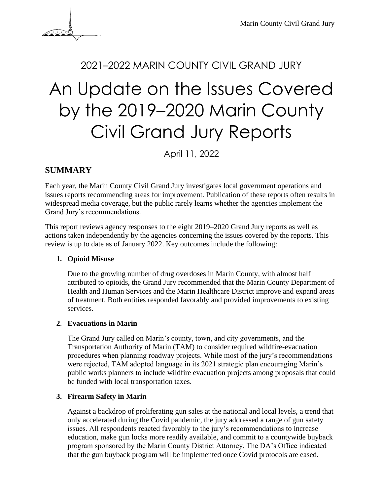

# <sup>2021</sup>–2022 MARIN COUNTY CIVIL GRAND JURY An Update on the Issues Covered by the 2019–2020 Marin County Civil Grand Jury Reports

April 11, 2022

# **SUMMARY**

Each year, the Marin County Civil Grand Jury investigates local government operations and issues reports recommending areas for improvement. Publication of these reports often results in widespread media coverage, but the public rarely learns whether the agencies implement the Grand Jury's recommendations.

This report reviews agency responses to the eight 2019–2020 Grand Jury reports as well as actions taken independently by the agencies concerning the issues covered by the reports. This review is up to date as of January 2022. Key outcomes include the following:

# **1. Opioid Misuse**

Due to the growing number of drug overdoses in Marin County, with almost half attributed to opioids, the Grand Jury recommended that the Marin County Department of Health and Human Services and the Marin Healthcare District improve and expand areas of treatment. Both entities responded favorably and provided improvements to existing services.

# **2**. **Evacuations in Marin**

The Grand Jury called on Marin's county, town, and city governments, and the Transportation Authority of Marin (TAM) to consider required wildfire-evacuation procedures when planning roadway projects. While most of the jury's recommendations were rejected, TAM adopted language in its 2021 strategic plan encouraging Marin's public works planners to include wildfire evacuation projects among proposals that could be funded with local transportation taxes.

# **3. Firearm Safety in Marin**

Against a backdrop of proliferating gun sales at the national and local levels, a trend that only accelerated during the Covid pandemic, the jury addressed a range of gun safety issues. All respondents reacted favorably to the jury's recommendations to increase education, make gun locks more readily available, and commit to a countywide buyback program sponsored by the Marin County District Attorney. The DA's Office indicated that the gun buyback program will be implemented once Covid protocols are eased.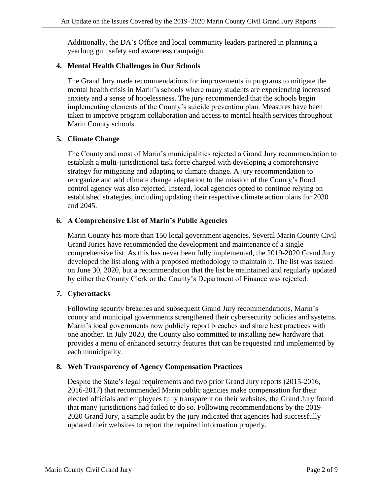Additionally, the DA's Office and local community leaders partnered in planning a yearlong gun safety and awareness campaign.

## **4. Mental Health Challenges in Our Schools**

The Grand Jury made recommendations for improvements in programs to mitigate the mental health crisis in Marin's schools where many students are experiencing increased anxiety and a sense of hopelessness. The jury recommended that the schools begin implementing elements of the County's suicide prevention plan. Measures have been taken to improve program collaboration and access to mental health services throughout Marin County schools.

## **5. Climate Change**

The County and most of Marin's municipalities rejected a Grand Jury recommendation to establish a multi-jurisdictional task force charged with developing a comprehensive strategy for mitigating and adapting to climate change. A jury recommendation to reorganize and add climate change adaptation to the mission of the County's flood control agency was also rejected. Instead, local agencies opted to continue relying on established strategies, including updating their respective climate action plans for 2030 and 2045.

## **6. A Comprehensive List of Marin's Public Agencies**

Marin County has more than 150 local government agencies. Several Marin County Civil Grand Juries have recommended the development and maintenance of a single comprehensive list. As this has never been fully implemented, the 2019-2020 Grand Jury developed the list along with a proposed methodology to maintain it. The list was issued on June 30, 2020, but a recommendation that the list be maintained and regularly updated by either the County Clerk or the County's Department of Finance was rejected.

# **7. Cyberattacks**

Following security breaches and subsequent Grand Jury recommendations, Marin's county and municipal governments strengthened their cybersecurity policies and systems. Marin's local governments now publicly report breaches and share best practices with one another. In July 2020, the County also committed to installing new hardware that provides a menu of enhanced security features that can be requested and implemented by each municipality.

#### **8. Web Transparency of Agency Compensation Practices**

Despite the State's legal requirements and two prior Grand Jury reports (2015-2016, 2016-2017) that recommended Marin public agencies make compensation for their elected officials and employees fully transparent on their websites, the Grand Jury found that many jurisdictions had failed to do so. Following recommendations by the 2019- 2020 Grand Jury, a sample audit by the jury indicated that agencies had successfully updated their websites to report the required information properly.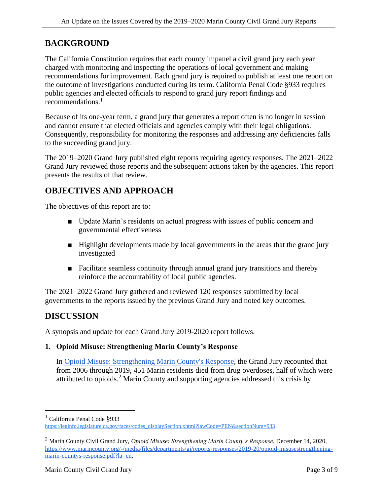# **BACKGROUND**

The California Constitution requires that each county impanel a civil grand jury each year charged with monitoring and inspecting the operations of local government and making recommendations for improvement. Each grand jury is required to publish at least one report on the outcome of investigations conducted during its term. California Penal Code §933 requires public agencies and elected officials to respond to grand jury report findings and recommendations. $<sup>1</sup>$ </sup>

Because of its one-year term, a grand jury that generates a report often is no longer in session and cannot ensure that elected officials and agencies comply with their legal obligations. Consequently, responsibility for monitoring the responses and addressing any deficiencies falls to the succeeding grand jury.

The 2019–2020 Grand Jury published eight reports requiring agency responses. The 2021–2022 Grand Jury reviewed those reports and the subsequent actions taken by the agencies. This report presents the results of that review.

# **OBJECTIVES AND APPROACH**

The objectives of this report are to:

- Update Marin's residents on actual progress with issues of public concern and governmental effectiveness
- Highlight developments made by local governments in the areas that the grand jury investigated
- Facilitate seamless continuity through annual grand jury transitions and thereby reinforce the accountability of local public agencies.

The 2021–2022 Grand Jury gathered and reviewed 120 responses submitted by local governments to the reports issued by the previous Grand Jury and noted key outcomes.

# **DISCUSSION**

A synopsis and update for each Grand Jury 2019-2020 report follows.

#### **1. Opioid Misuse: Strengthening Marin County's Response**

In [Opioid Misuse: Strengthening Marin County's Response,](https://www.marincounty.org/depts/gj/reports-and-responses/reports-responses/2019-20/opioid-misuse-strengthening-marin-countys-response) the Grand Jury recounted that from 2006 through 2019, 451 Marin residents died from drug overdoses, half of which were attributed to opioids. <sup>2</sup> Marin County and supporting agencies addressed this crisis by

 $<sup>1</sup>$  California Penal Code §933</sup>

[https://leginfo.legislature.ca.gov/faces/codes\\_displaySection.xhtml?lawCode=PEN&sectionNum=933.](https://leginfo.legislature.ca.gov/faces/codes_displaySection.xhtml?lawCode=PEN§ionNum=933)

<sup>2</sup> Marin County Civil Grand Jury, *Opioid Misuse: Strengthening Marin County's Response*, December 14, 2020, [https://www.marincounty.org/-/media/files/departments/gj/reports-responses/2019-20/opioid-misusestrengthening](https://www.marincounty.org/-/media/files/departments/gj/reports-responses/2019-20/opioid-misusestrengthening-marin-countys-response.pdf?la=en)[marin-countys-response.pdf?la=en.](https://www.marincounty.org/-/media/files/departments/gj/reports-responses/2019-20/opioid-misusestrengthening-marin-countys-response.pdf?la=en)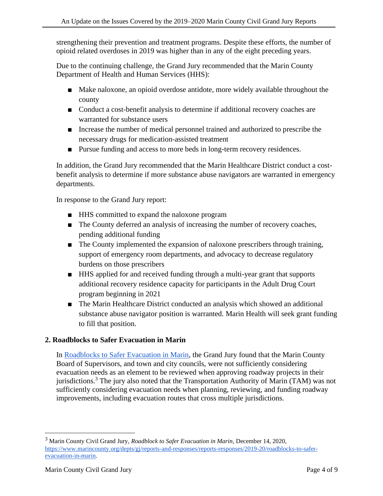strengthening their prevention and treatment programs. Despite these efforts, the number of opioid related overdoses in 2019 was higher than in any of the eight preceding years.

Due to the continuing challenge, the Grand Jury recommended that the Marin County Department of Health and Human Services (HHS):

- Make naloxone, an opioid overdose antidote, more widely available throughout the county
- Conduct a cost-benefit analysis to determine if additional recovery coaches are warranted for substance users
- Increase the number of medical personnel trained and authorized to prescribe the necessary drugs for medication-assisted treatment
- Pursue funding and access to more beds in long-term recovery residences.

In addition, the Grand Jury recommended that the Marin Healthcare District conduct a costbenefit analysis to determine if more substance abuse navigators are warranted in emergency departments.

In response to the Grand Jury report:

- HHS committed to expand the naloxone program
- The County deferred an analysis of increasing the number of recovery coaches, pending additional funding
- The County implemented the expansion of naloxone prescribers through training, support of emergency room departments, and advocacy to decrease regulatory burdens on those prescribers
- HHS applied for and received funding through a multi-year grant that supports additional recovery residence capacity for participants in the Adult Drug Court program beginning in 2021
- The Marin Healthcare District conducted an analysis which showed an additional substance abuse navigator position is warranted. Marin Health will seek grant funding to fill that position.

#### **2. Roadblocks to Safer Evacuation in Marin**

In [Roadblocks to Safer Evacuation in Marin,](https://www.marincounty.org/depts/gj/reports-and-responses/reports-responses/2019-20/roadblocks-to-safer-evacuation-in-marin) the Grand Jury found that the Marin County Board of Supervisors, and town and city councils, were not sufficiently considering evacuation needs as an element to be reviewed when approving roadway projects in their jurisdictions.<sup>3</sup> The jury also noted that the Transportation Authority of Marin (TAM) was not sufficiently considering evacuation needs when planning, reviewing, and funding roadway improvements, including evacuation routes that cross multiple jurisdictions.

<sup>3</sup> Marin County Civil Grand Jury, *Roadblock to Safer Evacuation in Marin*, December 14, 2020, [https://www.marincounty.org/depts/gj/reports-and-responses/reports-responses/2019-20/roadblocks-to-safer](https://www.marincounty.org/depts/gj/reports-and-responses/reports-responses/2019-20/roadblocks-to-safer-evacuation-in-marin)[evacuation-in-marin.](https://www.marincounty.org/depts/gj/reports-and-responses/reports-responses/2019-20/roadblocks-to-safer-evacuation-in-marin)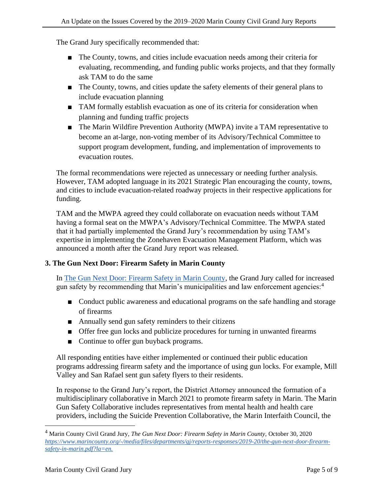The Grand Jury specifically recommended that:

- The County, towns, and cities include evacuation needs among their criteria for evaluating, recommending, and funding public works projects, and that they formally ask TAM to do the same
- The County, towns, and cities update the safety elements of their general plans to include evacuation planning
- TAM formally establish evacuation as one of its criteria for consideration when planning and funding traffic projects
- The Marin Wildfire Prevention Authority (MWPA) invite a TAM representative to become an at-large, non-voting member of its Advisory/Technical Committee to support program development, funding, and implementation of improvements to evacuation routes.

The formal recommendations were rejected as unnecessary or needing further analysis. However, TAM adopted language in its 2021 Strategic Plan encouraging the county, towns, and cities to include evacuation-related roadway projects in their respective applications for funding.

TAM and the MWPA agreed they could collaborate on evacuation needs without TAM having a formal seat on the MWPA's Advisory/Technical Committee. The MWPA stated that it had partially implemented the Grand Jury's recommendation by using TAM's expertise in implementing the Zonehaven Evacuation Management Platform, which was announced a month after the Grand Jury report was released.

# **3. The Gun Next Door: Firearm Safety in Marin County**

In [The Gun Next Door: Firearm Safety in Marin County,](https://www.marincounty.org/-/media/files/departments/gj/reports-responses/2019-20/the-gun-next-door-firearm-safety-in-marin.pdf?la=en) the Grand Jury called for increased gun safety by recommending that Marin's municipalities and law enforcement agencies:<sup>4</sup>

- Conduct public awareness and educational programs on the safe handling and storage of firearms
- Annually send gun safety reminders to their citizens
- Offer free gun locks and publicize procedures for turning in unwanted firearms
- Continue to offer gun buyback programs.

All responding entities have either implemented or continued their public education programs addressing firearm safety and the importance of using gun locks. For example, Mill Valley and San Rafael sent gun safety flyers to their residents.

In response to the Grand Jury's report, the District Attorney announced the formation of a multidisciplinary collaborative in March 2021 to promote firearm safety in Marin. The Marin Gun Safety Collaborative includes representatives from mental health and health care providers, including the Suicide Prevention Collaborative, the Marin Interfaith Council, the

<sup>4</sup> Marin County Civil Grand Jury, *The Gun Next Door: Firearm Safety in Marin County,* October 30, 2020 *https://www.marincounty.org/-/media/files/departments/gj/reports-responses/2019-20/the-gun-next-door-firearmsafety-in-marin.pdf?la=en.*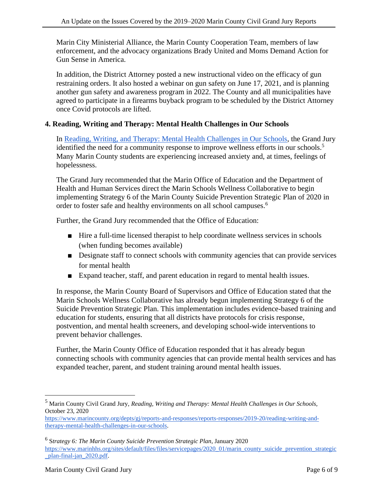Marin City Ministerial Alliance, the Marin County Cooperation Team, members of law enforcement, and the advocacy organizations Brady United and Moms Demand Action for Gun Sense in America.

In addition, the District Attorney posted a new instructional video on the efficacy of gun restraining orders. It also hosted a webinar on gun safety on June 17, 2021, and is planning another gun safety and awareness program in 2022. The County and all municipalities have agreed to participate in a firearms buyback program to be scheduled by the District Attorney once Covid protocols are lifted.

## **4. Reading, Writing and Therapy: Mental Health Challenges in Our Schools**

In [Reading, Writing, and Therapy: Mental Health Challenges in Our Schools,](https://www.marincounty.org/depts/gj/reports-and-responses/reports-responses/2019-20/reading-writing-and-therapy-mental-health-challenges-in-our-schools) the Grand Jury identified the need for a community response to improve wellness efforts in our schools.<sup>5</sup> Many Marin County students are experiencing increased anxiety and, at times, feelings of hopelessness.

The Grand Jury recommended that the Marin Office of Education and the Department of Health and Human Services direct the Marin Schools Wellness Collaborative to begin implementing Strategy 6 of the Marin County Suicide Prevention Strategic Plan of 2020 in order to foster safe and healthy environments on all school campuses.<sup>6</sup>

Further, the Grand Jury recommended that the Office of Education:

- Hire a full-time licensed therapist to help coordinate wellness services in schools (when funding becomes available)
- Designate staff to connect schools with community agencies that can provide services for mental health
- Expand teacher, staff, and parent education in regard to mental health issues.

In response, the Marin County Board of Supervisors and Office of Education stated that the Marin Schools Wellness Collaborative has already begun implementing Strategy 6 of the Suicide Prevention Strategic Plan. This implementation includes evidence-based training and education for students, ensuring that all districts have protocols for crisis response, postvention, and mental health screeners, and developing school-wide interventions to prevent behavior challenges.

Further, the Marin County Office of Education responded that it has already begun connecting schools with community agencies that can provide mental health services and has expanded teacher, parent, and student training around mental health issues.

<sup>5</sup> Marin County Civil Grand Jury, *Reading, Writing and Therapy: Mental Health Challenges in Our Schools,*  October 23, 2020

[https://www.marincounty.org/depts/gj/reports-and-responses/reports-responses/2019-20/reading-writing-and](https://www.marincounty.org/depts/gj/reports-and-responses/reports-responses/2019-20/reading-writing-and-therapy-mental-health-challenges-in-our-schools)[therapy-mental-health-challenges-in-our-schools.](https://www.marincounty.org/depts/gj/reports-and-responses/reports-responses/2019-20/reading-writing-and-therapy-mental-health-challenges-in-our-schools)

<sup>6</sup> S*trategy 6: The Marin County Suicide Prevention Strategic Plan*, January 2020 [https://www.marinhhs.org/sites/default/files/files/servicepages/2020\\_01/marin\\_county\\_suicide\\_prevention\\_strategic](https://www.marinhhs.org/sites/default/files/files/servicepages/2020_01/marin_county_suicide_prevention_strategic_plan-final-jan_2020.pdf) [\\_plan-final-jan\\_2020.pdf.](https://www.marinhhs.org/sites/default/files/files/servicepages/2020_01/marin_county_suicide_prevention_strategic_plan-final-jan_2020.pdf)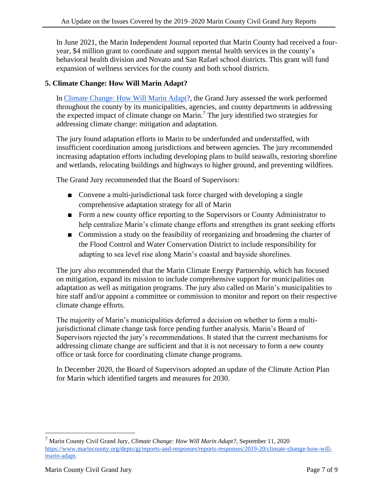In June 2021, the Marin Independent Journal reported that Marin County had received a fouryear, \$4 million grant to coordinate and support mental health services in the county's behavioral health division and Novato and San Rafael school districts. This grant will fund expansion of wellness services for the county and both school districts.

## **5. Climate Change: How Will Marin Adapt?**

In [Climate Change: How Will Marin Adapt?](https://www.marincounty.org/depts/gj/reports-and-responses/reports-responses/2019-20/climate-change-how-will-marin-adapt)*,* the Grand Jury assessed the work performed throughout the county by its municipalities, agencies, and county departments in addressing the expected impact of climate change on Marin.<sup>7</sup> The jury identified two strategies for addressing climate change: mitigation and adaptation.

The jury found adaptation efforts in Marin to be underfunded and understaffed, with insufficient coordination among jurisdictions and between agencies. The jury recommended increasing adaptation efforts including developing plans to build seawalls, restoring shoreline and wetlands, relocating buildings and highways to higher ground, and preventing wildfires.

The Grand Jury recommended that the Board of Supervisors:

- Convene a multi-jurisdictional task force charged with developing a single comprehensive adaptation strategy for all of Marin
- Form a new county office reporting to the Supervisors or County Administrator to help centralize Marin's climate change efforts and strengthen its grant seeking efforts
- Commission a study on the feasibility of reorganizing and broadening the charter of the Flood Control and Water Conservation District to include responsibility for adapting to sea level rise along Marin's coastal and bayside shorelines.

The jury also recommended that the Marin Climate Energy Partnership, which has focused on mitigation, expand its mission to include comprehensive support for municipalities on adaptation as well as mitigation programs. The jury also called on Marin's municipalities to hire staff and/or appoint a committee or commission to monitor and report on their respective climate change efforts.

The majority of Marin's municipalities deferred a decision on whether to form a multijurisdictional climate change task force pending further analysis. Marin's Board of Supervisors rejected the jury's recommendations. It stated that the current mechanisms for addressing climate change are sufficient and that it is not necessary to form a new county office or task force for coordinating climate change programs.

In December 2020, the Board of Supervisors adopted an update of the Climate Action Plan for Marin which identified targets and measures for 2030.

<sup>7</sup> Marin County Civil Grand Jury, *Climate Change: How Will Marin Adapt?,* September 11, 2020 [https://www.marincounty.org/depts/gj/reports-and-responses/reports-responses/2019-20/climate-change-how-will](https://www.marincounty.org/depts/gj/reports-and-responses/reports-responses/2019-20/climate-change-how-will-marin-adapt)[marin-adapt.](https://www.marincounty.org/depts/gj/reports-and-responses/reports-responses/2019-20/climate-change-how-will-marin-adapt)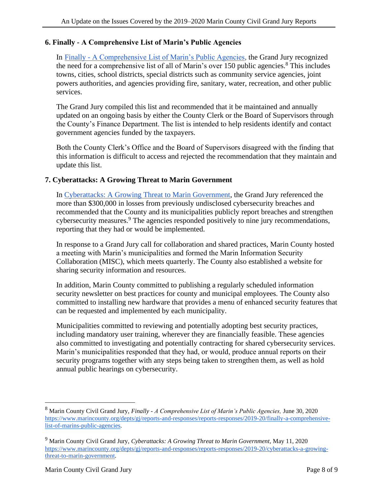## **6. Finally - A Comprehensive List of Marin's Public Agencies**

In Finally - [A Comprehensive List of Marin's Public Agencies](https://www.marincounty.org/depts/gj/reports-and-responses/reports-responses/2019-20/finally-a-comprehensive-list-of-marins-public-agencies)*,* the Grand Jury recognized the need for a comprehensive list of all of Marin's over 150 public agencies.<sup>8</sup> This includes towns, cities, school districts, special districts such as community service agencies, joint powers authorities, and agencies providing fire, sanitary, water, recreation, and other public services.

The Grand Jury compiled this list and recommended that it be maintained and annually updated on an ongoing basis by either the County Clerk or the Board of Supervisors through the County's Finance Department. The list is intended to help residents identify and contact government agencies funded by the taxpayers.

Both the County Clerk's Office and the Board of Supervisors disagreed with the finding that this information is difficult to access and rejected the recommendation that they maintain and update this list.

#### **7. Cyberattacks: A Growing Threat to Marin Government**

In [Cyberattacks: A Growing Threat to Marin Government,](https://www.marincounty.org/depts/gj/reports-and-responses/reports-responses/2019-20/cyberattacks-a-growing-threat-to-marin-government) the Grand Jury referenced the more than \$300,000 in losses from previously undisclosed cybersecurity breaches and recommended that the County and its municipalities publicly report breaches and strengthen cybersecurity measures.<sup>9</sup> The agencies responded positively to nine jury recommendations, reporting that they had or would be implemented.

In response to a Grand Jury call for collaboration and shared practices, Marin County hosted a meeting with Marin's municipalities and formed the Marin Information Security Collaboration (MISC), which meets quarterly. The County also established a website for sharing security information and resources.

In addition, Marin County committed to publishing a regularly scheduled information security newsletter on best practices for county and municipal employees. The County also committed to installing new hardware that provides a menu of enhanced security features that can be requested and implemented by each municipality.

Municipalities committed to reviewing and potentially adopting best security practices, including mandatory user training, wherever they are financially feasible. These agencies also committed to investigating and potentially contracting for shared cybersecurity services. Marin's municipalities responded that they had, or would, produce annual reports on their security programs together with any steps being taken to strengthen them, as well as hold annual public hearings on cybersecurity.

<sup>8</sup> Marin County Civil Grand Jury, *Finally - A Comprehensive List of Marin's Public Agencies,* June 30, 2020 [https://www.marincounty.org/depts/gj/reports-and-responses/reports-responses/2019-20/finally-a-comprehensive](https://www.marincounty.org/depts/gj/reports-and-responses/reports-responses/2019-20/finally-a-comprehensive-list-of-marins-public-agencies)[list-of-marins-public-agencies.](https://www.marincounty.org/depts/gj/reports-and-responses/reports-responses/2019-20/finally-a-comprehensive-list-of-marins-public-agencies)

<sup>9</sup> Marin County Civil Grand Jury, *Cyberattacks: A Growing Threat to Marin Government,* May 11, 2020 [https://www.marincounty.org/depts/gj/reports-and-responses/reports-responses/2019-20/cyberattacks-a-growing](https://www.marincounty.org/depts/gj/reports-and-responses/reports-responses/2019-20/cyberattacks-a-growing-threat-to-marin-government)[threat-to-marin-government.](https://www.marincounty.org/depts/gj/reports-and-responses/reports-responses/2019-20/cyberattacks-a-growing-threat-to-marin-government)